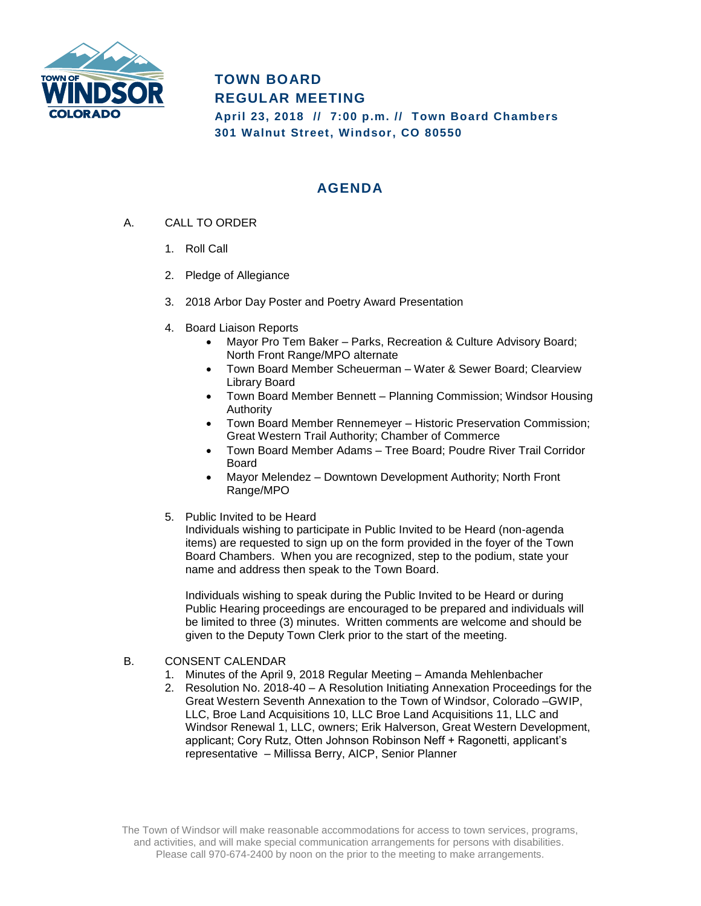

## **TOWN BOARD REGULAR MEETING**

**April 23, 2018 // 7:00 p.m. // Town Board Chambers 301 Walnut Street, Windsor, CO 80550**

## **AGENDA**

- A. CALL TO ORDER
	- 1. Roll Call
	- 2. Pledge of Allegiance
	- 3. 2018 Arbor Day Poster and Poetry Award Presentation
	- 4. Board Liaison Reports
		- Mayor Pro Tem Baker Parks, Recreation & Culture Advisory Board; North Front Range/MPO alternate
		- Town Board Member Scheuerman Water & Sewer Board; Clearview Library Board
		- Town Board Member Bennett Planning Commission; Windsor Housing Authority
		- Town Board Member Rennemeyer Historic Preservation Commission; Great Western Trail Authority; Chamber of Commerce
		- Town Board Member Adams Tree Board; Poudre River Trail Corridor Board
		- Mayor Melendez Downtown Development Authority; North Front Range/MPO
	- 5. Public Invited to be Heard

Individuals wishing to participate in Public Invited to be Heard (non-agenda items) are requested to sign up on the form provided in the foyer of the Town Board Chambers. When you are recognized, step to the podium, state your name and address then speak to the Town Board.

Individuals wishing to speak during the Public Invited to be Heard or during Public Hearing proceedings are encouraged to be prepared and individuals will be limited to three (3) minutes. Written comments are welcome and should be given to the Deputy Town Clerk prior to the start of the meeting.

- B. CONSENT CALENDAR
	- 1. Minutes of the April 9, 2018 Regular Meeting Amanda Mehlenbacher
	- 2. Resolution No. 2018-40 A Resolution Initiating Annexation Proceedings for the Great Western Seventh Annexation to the Town of Windsor, Colorado –GWIP, LLC, Broe Land Acquisitions 10, LLC Broe Land Acquisitions 11, LLC and Windsor Renewal 1, LLC, owners; Erik Halverson, Great Western Development, applicant; Cory Rutz, Otten Johnson Robinson Neff + Ragonetti, applicant's representative – Millissa Berry, AICP, Senior Planner

The Town of Windsor will make reasonable accommodations for access to town services, programs, and activities, and will make special communication arrangements for persons with disabilities. Please call 970-674-2400 by noon on the prior to the meeting to make arrangements.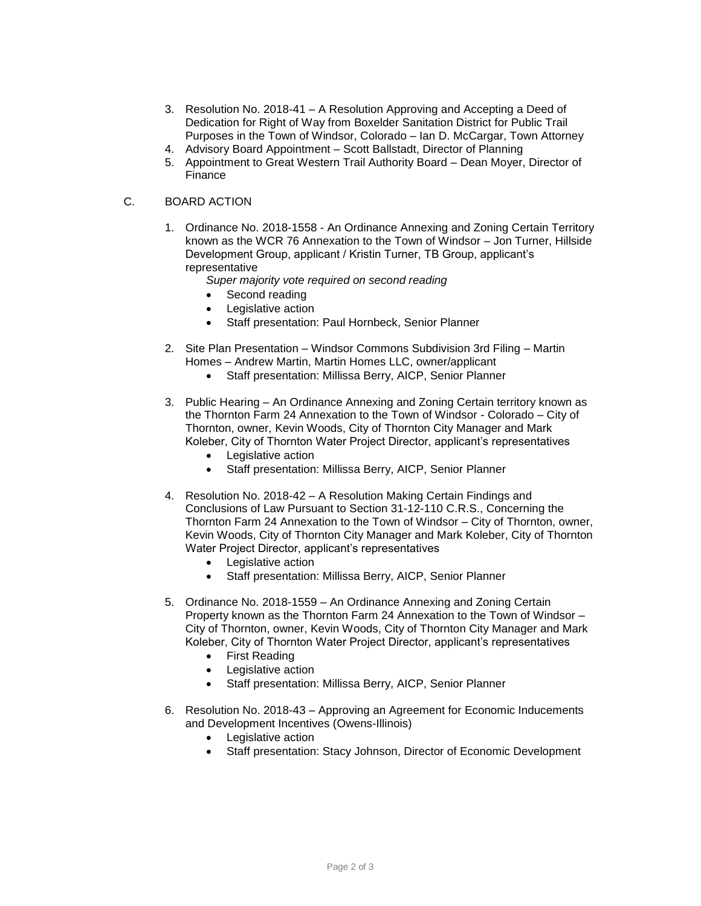- 3. Resolution No. 2018-41 A Resolution Approving and Accepting a Deed of Dedication for Right of Way from Boxelder Sanitation District for Public Trail Purposes in the Town of Windsor, Colorado – Ian D. McCargar, Town Attorney
- 4. Advisory Board Appointment Scott Ballstadt, Director of Planning
- 5. Appointment to Great Western Trail Authority Board Dean Moyer, Director of Finance

## C. BOARD ACTION

- 1. Ordinance No. 2018-1558 An Ordinance Annexing and Zoning Certain Territory known as the WCR 76 Annexation to the Town of Windsor – Jon Turner, Hillside Development Group, applicant / Kristin Turner, TB Group, applicant's representative
	- *Super majority vote required on second reading*
	- Second reading
	- Legislative action
	- Staff presentation: Paul Hornbeck, Senior Planner
- 2. Site Plan Presentation Windsor Commons Subdivision 3rd Filing Martin Homes – Andrew Martin, Martin Homes LLC, owner/applicant
	- Staff presentation: Millissa Berry, AICP, Senior Planner
- 3. Public Hearing An Ordinance Annexing and Zoning Certain territory known as the Thornton Farm 24 Annexation to the Town of Windsor - Colorado – City of Thornton, owner, Kevin Woods, City of Thornton City Manager and Mark Koleber, City of Thornton Water Project Director, applicant's representatives
	- Legislative action
	- Staff presentation: Millissa Berry, AICP, Senior Planner
- 4. Resolution No. 2018-42 A Resolution Making Certain Findings and Conclusions of Law Pursuant to Section 31-12-110 C.R.S., Concerning the Thornton Farm 24 Annexation to the Town of Windsor – City of Thornton, owner, Kevin Woods, City of Thornton City Manager and Mark Koleber, City of Thornton Water Project Director, applicant's representatives
	- Legislative action
	- Staff presentation: Millissa Berry, AICP, Senior Planner
- 5. Ordinance No. 2018-1559 An Ordinance Annexing and Zoning Certain Property known as the Thornton Farm 24 Annexation to the Town of Windsor – City of Thornton, owner, Kevin Woods, City of Thornton City Manager and Mark Koleber, City of Thornton Water Project Director, applicant's representatives
	- First Reading
	- Legislative action
	- Staff presentation: Millissa Berry, AICP, Senior Planner
- 6. Resolution No. 2018-43 Approving an Agreement for Economic Inducements and Development Incentives (Owens-Illinois)
	- Legislative action
	- Staff presentation: Stacy Johnson, Director of Economic Development